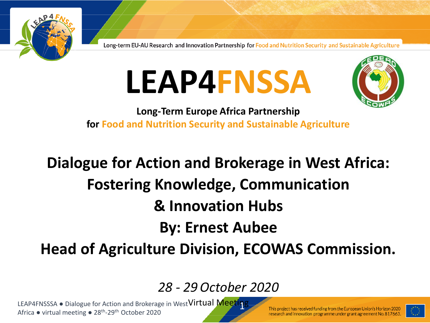

# **LEAP4FNSSA**



**Long-Term Europe Africa Partnership for Food and Nutrition Security and Sustainable Agriculture**

## **Dialogue for Action and Brokerage in West Africa: Fostering Knowledge, Communication & Innovation Hubs By: Ernest Aubee Head of Agriculture Division, ECOWAS Commission.**

## *28 - 29October 2020*

LEAP4FNSSSA • Dialogue for Action and Brokerage in West Virtual Meeting Africa • virtual meeting • 28<sup>th</sup>-29<sup>th</sup> October 2020

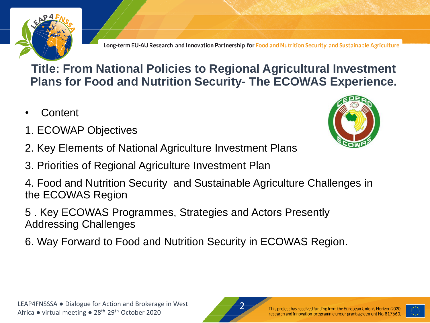

### **Title: From National Policies to Regional Agricultural Investment Plans for Food and Nutrition Security- The ECOWAS Experience.**

- **Content**
- 1. ECOWAP Objectives
- 2. Key Elements of National Agriculture Investment Plans
- 3. Priorities of Regional Agriculture Investment Plan
- 4. Food and Nutrition Security and Sustainable Agriculture Challenges in the ECOWAS Region
- 5 . Key ECOWAS Programmes, Strategies and Actors Presently Addressing Challenges
- 6. Way Forward to Food and Nutrition Security in ECOWAS Region.





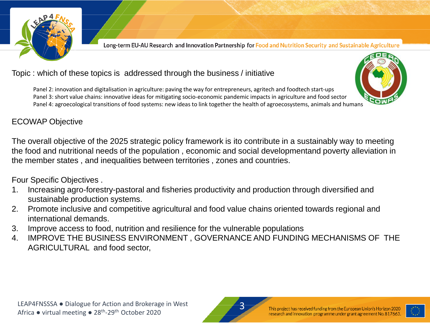

#### Topic : which of these topics is addressed through the business / initiative

Panel 2: innovation and digitalisation in agriculture: paving the way for entrepreneurs, agritech and foodtech start-ups Panel 3: short value chains: innovative ideas for mitigating socio-economic pandemic impacts in agriculture and food sector Panel 4: agroecological transitions of food systems: new ideas to link together the health of agroecosystems, animals and humans



#### ECOWAP Objective

The overall objective of the 2025 strategic policy framework is ito contribute in a sustainably way to meeting the food and nutritional needs of the population , economic and social developmentand poverty alleviation in the member states , and inequalities between territories , zones and countries.

Four Specific Objectives .

- 1. Increasing agro-forestry-pastoral and fisheries productivity and production through diversified and sustainable production systems.
- 2. Promote inclusive and competitive agricultural and food value chains oriented towards regional and international demands.
- 3. Improve access to food, nutrition and resilience for the vulnerable populations
- 4. IMPROVE THE BUSINESS ENVIRONMENT , GOVERNANCE AND FUNDING MECHANISMS OF THE AGRICULTURAL and food sector,



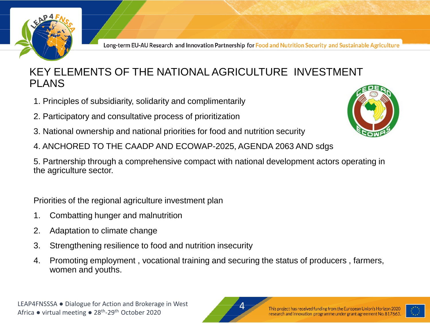

#### KEY ELEMENTS OF THE NATIONAL AGRICULTURE INVESTMENT PLANS

- 1. Principles of subsidiarity, solidarity and complimentarily
- 2. Participatory and consultative process of prioritization
- 3. National ownership and national priorities for food and nutrition security
- 4. ANCHORED TO THE CAADP AND ECOWAP-2025, AGENDA 2063 AND sdgs

5. Partnership through a comprehensive compact with national development actors operating in the agriculture sector.

Priorities of the regional agriculture investment plan

- 1. Combatting hunger and malnutrition
- 2. Adaptation to climate change
- 3. Strengthening resilience to food and nutrition insecurity
- 4. Promoting employment , vocational training and securing the status of producers , farmers, women and youths.



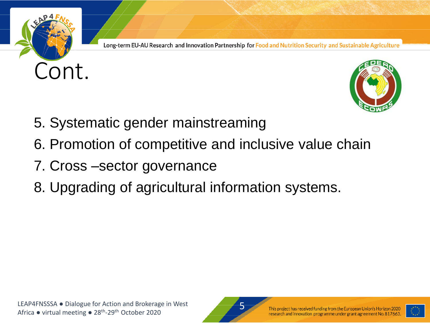



- 5. Systematic gender mainstreaming
- 6. Promotion of competitive and inclusive value chain
- 7. Cross –sector governance
- 8. Upgrading of agricultural information systems.



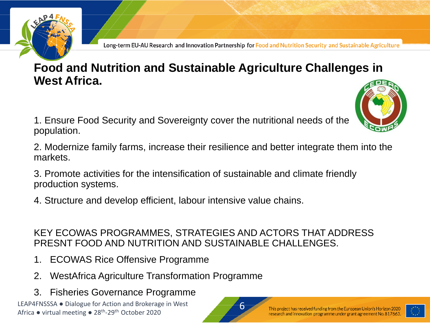

### **Food and Nutrition and Sustainable Agriculture Challenges in West Africa.**

- 1. Ensure Food Security and Sovereignty cover the nutritional needs of the population.
- 2. Modernize family farms, increase their resilience and better integrate them into the markets.
- 3. Promote activities for the intensification of sustainable and climate friendly production systems.
- 4. Structure and develop efficient, labour intensive value chains.

#### KEY ECOWAS PROGRAMMES, STRATEGIES AND ACTORS THAT ADDRESS PRESNT FOOD AND NUTRITION AND SUSTAINABLE CHALLENGES.

- 1. ECOWAS Rice Offensive Programme
- 2. WestAfrica Agriculture Transformation Programme
- 3. Fisheries Governance Programme

LEAP4FNSSSA ● Dialogue for Action and Brokerage in West Africa • virtual meeting • 28<sup>th</sup>-29<sup>th</sup> October 2020



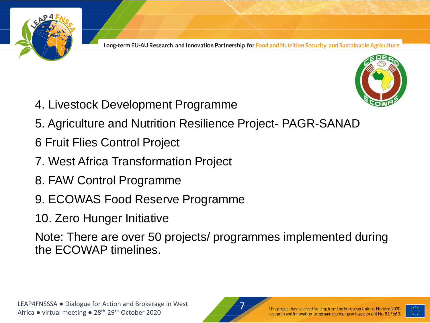



- 4. Livestock Development Programme
- 5. Agriculture and Nutrition Resilience Project- PAGR-SANAD
- 6 Fruit Flies Control Project
- 7. West Africa Transformation Project
- 8. FAW Control Programme
- 9. ECOWAS Food Reserve Programme
- 10. Zero Hunger Initiative

Note: There are over 50 projects/ programmes implemented during the ECOWAP timelines.



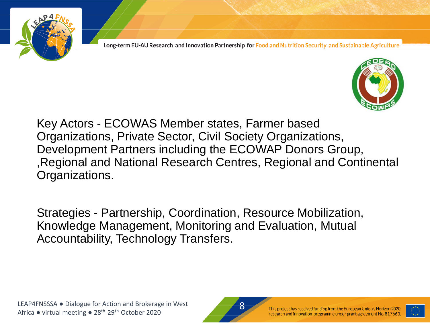



Key Actors - ECOWAS Member states, Farmer based Organizations, Private Sector, Civil Society Organizations, Development Partners including the ECOWAP Donors Group, ,Regional and National Research Centres, Regional and Continental Organizations.

Strategies - Partnership, Coordination, Resource Mobilization, Knowledge Management, Monitoring and Evaluation, Mutual Accountability, Technology Transfers.

LEAP4FNSSSA ● Dialogue for Action and Brokerage in West Africa • virtual meeting • 28<sup>th</sup>-29<sup>th</sup> October 2020



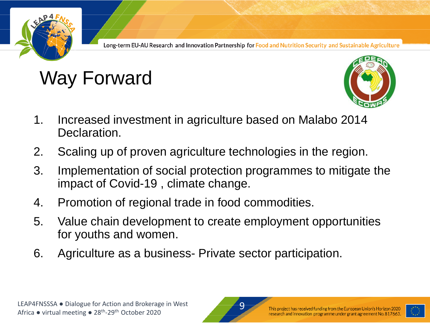

# Way Forward



- 1. Increased investment in agriculture based on Malabo 2014 Declaration.
- 2. Scaling up of proven agriculture technologies in the region.
- 3. Implementation of social protection programmes to mitigate the impact of Covid-19 , climate change.
- 4. Promotion of regional trade in food commodities.
- 5. Value chain development to create employment opportunities for youths and women.
- 6. Agriculture as a business- Private sector participation.